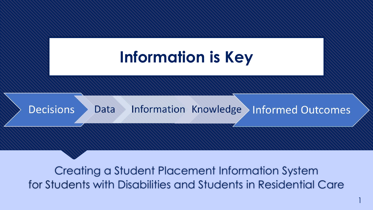

for Students with Disabilities and Students in Residential Care

1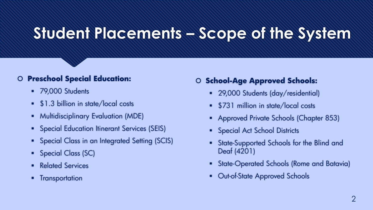## **Student Placements – Scope of the System**

## **Preschool Special Education:**

- 79,000 Students
- **\$1.3 billion in state/local costs**
- **Multidisciplinary Evaluation (MDE)**
- **Special Education Itinerant Services (SEIS)**
- **•** Special Class in an Integrated Setting (SCIS)
- Special Class (SC)
- **Related Services**
- **•** Transportation

## **School-Age Approved Schools:**

- 29,000 Students (day/residential)
- \$731 million in state/local costs
- Approved Private Schools (Chapter 853)
- **•** Special Act School Districts
- State-Supported Schools for the Blind and Deaf (4201)
- **State-Operated Schools (Rome and Batavia)**
- Out-of-State Approved Schools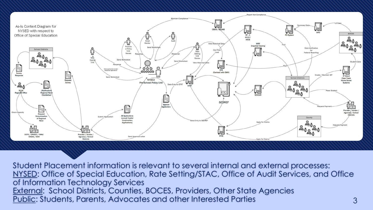

Student Placement information is relevant to several internal and external processes: NYSED: Office of Special Education, Rate Setting/STAC, Office of Audit Services, and Office of Information Technology Services External: School Districts, Counties, BOCES, Providers, Other State Agencies Public: Students, Parents, Advocates and other Interested Parties 3